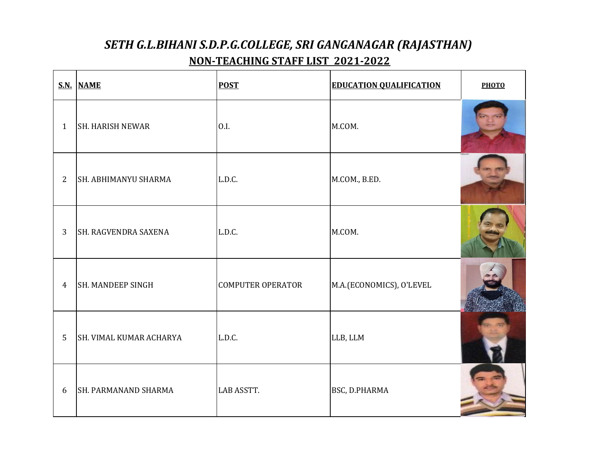|                | S.N. NAME                | <b>POST</b>              | <b>EDUCATION QUALIFICATION</b> | <b>PHOTO</b> |
|----------------|--------------------------|--------------------------|--------------------------------|--------------|
| $\mathbf{1}$   | <b>SH. HARISH NEWAR</b>  | 0.I.                     | M.COM.                         |              |
| $\overline{2}$ | SH. ABHIMANYU SHARMA     | L.D.C.                   | M.COM., B.ED.                  |              |
| 3              | SH. RAGVENDRA SAXENA     | L.D.C.                   | M.COM.                         |              |
| $\overline{4}$ | <b>SH. MANDEEP SINGH</b> | <b>COMPUTER OPERATOR</b> | M.A.(ECONOMICS), O'LEVEL       |              |
| 5              | SH. VIMAL KUMAR ACHARYA  | L.D.C.                   | LLB, LLM                       |              |
| 6              | SH. PARMANAND SHARMA     | <b>LAB ASSTT.</b>        | BSC, D.PHARMA                  |              |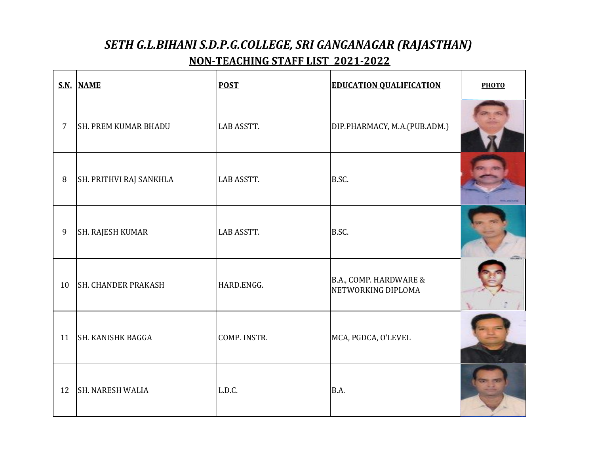|                | S.N. NAME                   | <b>POST</b>       | <b>EDUCATION QUALIFICATION</b>               | <b>PHOTO</b> |
|----------------|-----------------------------|-------------------|----------------------------------------------|--------------|
| $\overline{7}$ | <b>SH. PREM KUMAR BHADU</b> | <b>LAB ASSTT.</b> | DIP.PHARMACY, M.A.(PUB.ADM.)                 |              |
| $\, 8$         | SH. PRITHVI RAJ SANKHLA     | <b>LAB ASSTT.</b> | B.SC.                                        |              |
| 9              | SH. RAJESH KUMAR            | <b>LAB ASSTT.</b> | B.SC.                                        |              |
| 10             | <b>SH. CHANDER PRAKASH</b>  | HARD.ENGG.        | B.A., COMP. HARDWARE &<br>NETWORKING DIPLOMA |              |
| 11             | <b>SH. KANISHK BAGGA</b>    | COMP. INSTR.      | MCA, PGDCA, O'LEVEL                          |              |
| 12             | <b>SH. NARESH WALIA</b>     | L.D.C.            | B.A.                                         |              |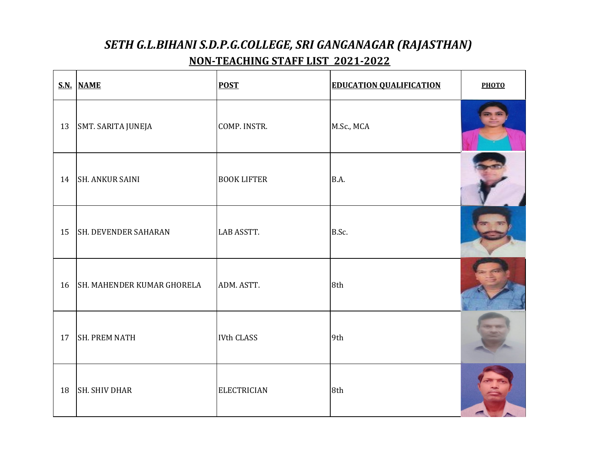|    | S.N. NAME                         | <b>POST</b>        | <b>EDUCATION QUALIFICATION</b> | <b>PHOTO</b> |
|----|-----------------------------------|--------------------|--------------------------------|--------------|
| 13 | SMT. SARITA JUNEJA                | COMP. INSTR.       | M.Sc., MCA                     |              |
| 14 | <b>SH. ANKUR SAINI</b>            | <b>BOOK LIFTER</b> | B.A.                           |              |
| 15 | <b>SH. DEVENDER SAHARAN</b>       | LAB ASSTT.         | B.Sc.                          |              |
| 16 | <b>SH. MAHENDER KUMAR GHORELA</b> | ADM. ASTT.         | 8th                            |              |
| 17 | <b>SH. PREM NATH</b>              | <b>IVth CLASS</b>  | 9th                            |              |
| 18 | <b>SH. SHIV DHAR</b>              | <b>ELECTRICIAN</b> | 8th                            |              |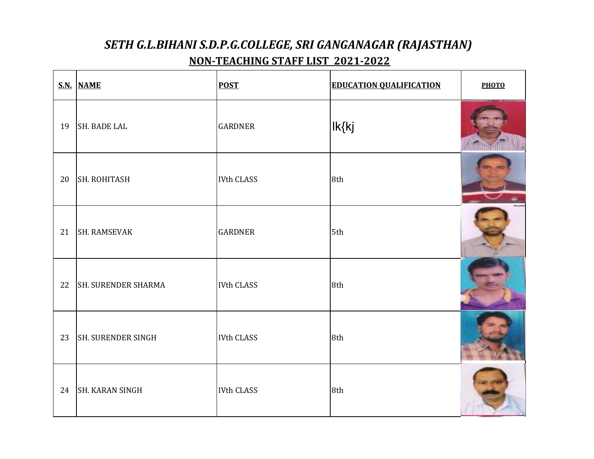|    | S.N. NAME                  | <b>POST</b>       | <b>EDUCATION QUALIFICATION</b> | <b>РНОТО</b> |
|----|----------------------------|-------------------|--------------------------------|--------------|
| 19 | <b>SH. BADE LAL</b>        | <b>GARDNER</b>    | Ik{kj                          |              |
| 20 | <b>SH. ROHITASH</b>        | <b>IVth CLASS</b> | 8th                            |              |
| 21 | <b>SH. RAMSEVAK</b>        | <b>GARDNER</b>    | 5th                            |              |
| 22 | <b>SH. SURENDER SHARMA</b> | <b>IVth CLASS</b> | 8th                            |              |
| 23 | SH. SURENDER SINGH         | <b>IVth CLASS</b> | 8th                            |              |
| 24 | <b>SH. KARAN SINGH</b>     | <b>IVth CLASS</b> | 8th                            |              |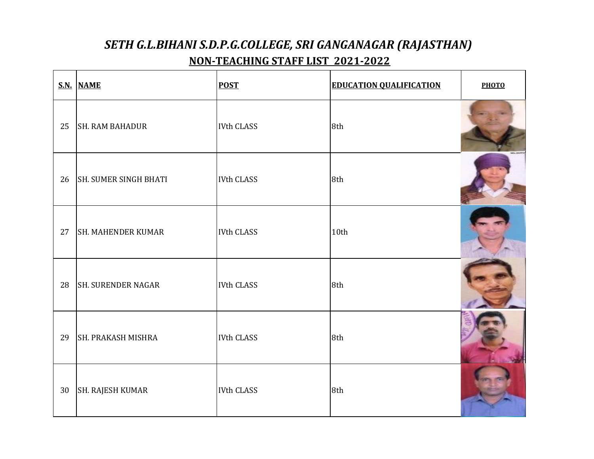|    | S.N. NAME                    | <b>POST</b>       | <b>EDUCATION QUALIFICATION</b> | <b>РНОТО</b> |
|----|------------------------------|-------------------|--------------------------------|--------------|
| 25 | <b>SH. RAM BAHADUR</b>       | <b>IVth CLASS</b> | 8th                            |              |
| 26 | <b>SH. SUMER SINGH BHATI</b> | <b>IVth CLASS</b> | 8th                            |              |
| 27 | <b>SH. MAHENDER KUMAR</b>    | <b>IVth CLASS</b> | 10th                           |              |
| 28 | <b>SH. SURENDER NAGAR</b>    | <b>IVth CLASS</b> | 8th                            |              |
| 29 | <b>SH. PRAKASH MISHRA</b>    | <b>IVth CLASS</b> | 8th                            |              |
| 30 | SH. RAJESH KUMAR             | <b>IVth CLASS</b> | 8th                            |              |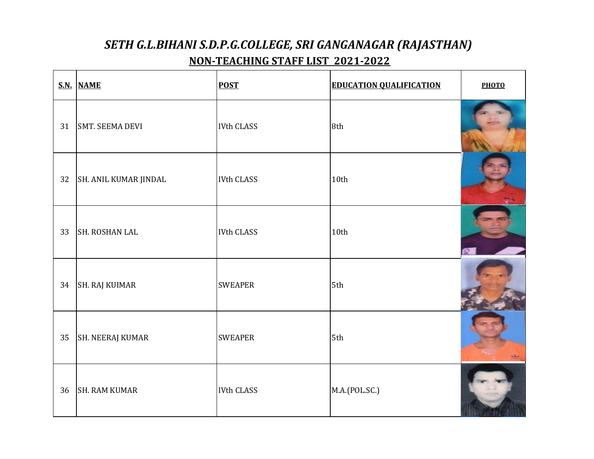|    | S.N. NAME               | <b>POST</b>       | <b>EDUCATION QUALIFICATION</b> | <b>РНОТО</b> |
|----|-------------------------|-------------------|--------------------------------|--------------|
| 31 | <b>SMT. SEEMA DEVI</b>  | <b>IVth CLASS</b> | 8th                            |              |
| 32 | SH. ANIL KUMAR JINDAL   | <b>IVth CLASS</b> | 10th                           |              |
| 33 | <b>SH. ROSHAN LAL</b>   | <b>IVth CLASS</b> | 10th                           |              |
| 34 | <b>SH. RAJ KUIMAR</b>   | <b>SWEAPER</b>    | 5th                            |              |
| 35 | <b>SH. NEERAJ KUMAR</b> | <b>SWEAPER</b>    | 5th                            |              |
| 36 | <b>SH. RAM KUMAR</b>    | <b>IVth CLASS</b> | M.A.(POL.SC.)                  |              |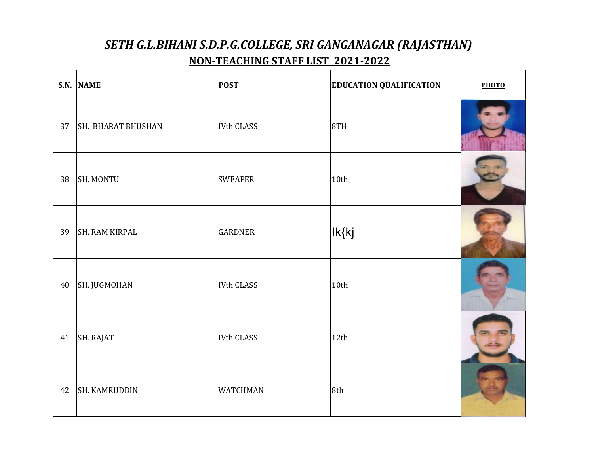|        | S.N. NAME                 | <b>POST</b>       | <b>EDUCATION QUALIFICATION</b> | <b>РНОТО</b> |
|--------|---------------------------|-------------------|--------------------------------|--------------|
| 37     | <b>SH. BHARAT BHUSHAN</b> | <b>IVth CLASS</b> | 8TH                            |              |
| 38     | <b>SH. MONTU</b>          | <b>SWEAPER</b>    | 10th                           |              |
| 39     | SH. RAM KIRPAL            | <b>GARDNER</b>    | Ik{kj                          |              |
| $40\,$ | SH. JUGMOHAN              | <b>IVth CLASS</b> | 10th                           |              |
| 41     | SH. RAJAT                 | <b>IVth CLASS</b> | 12th                           |              |
| 42     | SH. KAMRUDDIN             | <b>WATCHMAN</b>   | 8th                            |              |